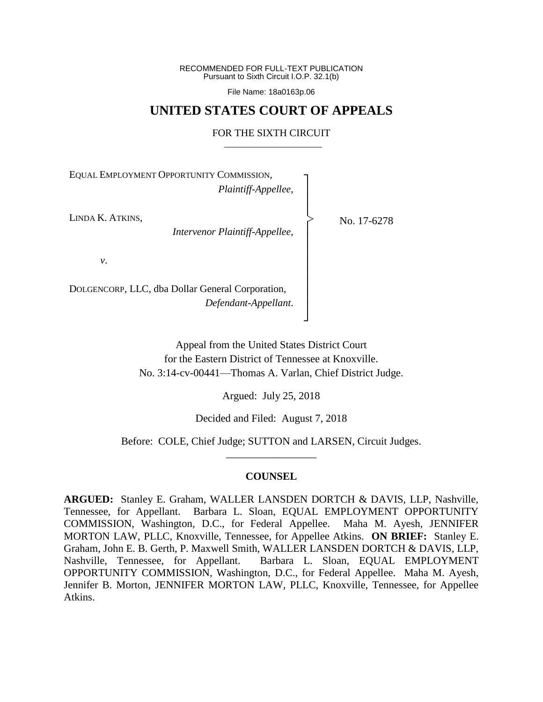RECOMMENDED FOR FULL-TEXT PUBLICATION Pursuant to Sixth Circuit I.O.P. 32.1(b)

File Name: 18a0163p.06

## **UNITED STATES COURT OF APPEALS**

## FOR THE SIXTH CIRCUIT

┐ │ │ │ │ │ │ │ │ │ │ │ ┘

|<br>|<br>|

EQUAL EMPLOYMENT OPPORTUNITY COMMISSION, *Plaintiff-Appellee*,

LINDA K. ATKINS,

*Intervenor Plaintiff-Appellee*,

No. 17-6278

*v*.

DOLGENCORP, LLC, dba Dollar General Corporation, *Defendant-Appellant*.

> Appeal from the United States District Court for the Eastern District of Tennessee at Knoxville. No. 3:14-cv-00441—Thomas A. Varlan, Chief District Judge.

> > Argued: July 25, 2018

Decided and Filed: August 7, 2018

Before: COLE, Chief Judge; SUTTON and LARSEN, Circuit Judges. \_\_\_\_\_\_\_\_\_\_\_\_\_\_\_\_\_

## **COUNSEL**

**ARGUED:** Stanley E. Graham, WALLER LANSDEN DORTCH & DAVIS, LLP, Nashville, Tennessee, for Appellant. Barbara L. Sloan, EQUAL EMPLOYMENT OPPORTUNITY COMMISSION, Washington, D.C., for Federal Appellee. Maha M. Ayesh, JENNIFER MORTON LAW, PLLC, Knoxville, Tennessee, for Appellee Atkins. **ON BRIEF:** Stanley E. Graham, John E. B. Gerth, P. Maxwell Smith, WALLER LANSDEN DORTCH & DAVIS, LLP, Nashville, Tennessee, for Appellant. Barbara L. Sloan, EQUAL EMPLOYMENT OPPORTUNITY COMMISSION, Washington, D.C., for Federal Appellee. Maha M. Ayesh, Jennifer B. Morton, JENNIFER MORTON LAW, PLLC, Knoxville, Tennessee, for Appellee Atkins.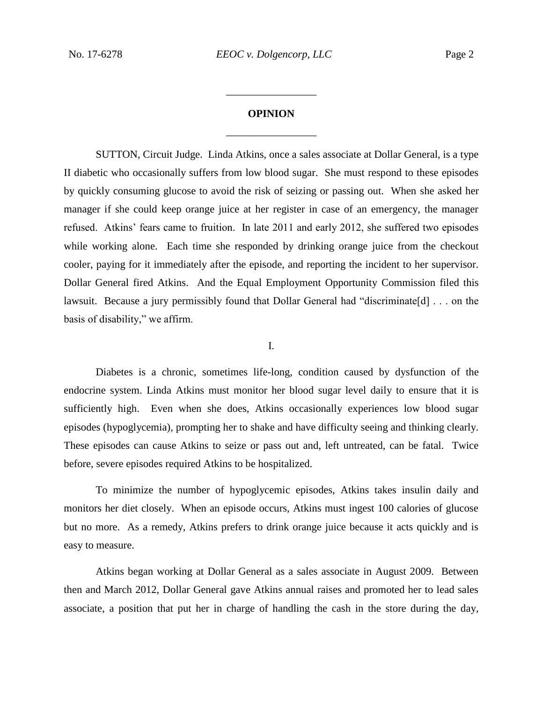## **OPINION** \_\_\_\_\_\_\_\_\_\_\_\_\_\_\_\_\_

\_\_\_\_\_\_\_\_\_\_\_\_\_\_\_\_\_

SUTTON, Circuit Judge. Linda Atkins, once a sales associate at Dollar General, is a type II diabetic who occasionally suffers from low blood sugar. She must respond to these episodes by quickly consuming glucose to avoid the risk of seizing or passing out. When she asked her manager if she could keep orange juice at her register in case of an emergency, the manager refused. Atkins' fears came to fruition. In late 2011 and early 2012, she suffered two episodes while working alone. Each time she responded by drinking orange juice from the checkout cooler, paying for it immediately after the episode, and reporting the incident to her supervisor. Dollar General fired Atkins. And the Equal Employment Opportunity Commission filed this lawsuit. Because a jury permissibly found that Dollar General had "discriminate[d] . . . on the basis of disability," we affirm.

I.

Diabetes is a chronic, sometimes life-long, condition caused by dysfunction of the endocrine system. Linda Atkins must monitor her blood sugar level daily to ensure that it is sufficiently high. Even when she does, Atkins occasionally experiences low blood sugar episodes (hypoglycemia), prompting her to shake and have difficulty seeing and thinking clearly. These episodes can cause Atkins to seize or pass out and, left untreated, can be fatal. Twice before, severe episodes required Atkins to be hospitalized.

To minimize the number of hypoglycemic episodes, Atkins takes insulin daily and monitors her diet closely. When an episode occurs, Atkins must ingest 100 calories of glucose but no more. As a remedy, Atkins prefers to drink orange juice because it acts quickly and is easy to measure.

Atkins began working at Dollar General as a sales associate in August 2009. Between then and March 2012, Dollar General gave Atkins annual raises and promoted her to lead sales associate, a position that put her in charge of handling the cash in the store during the day,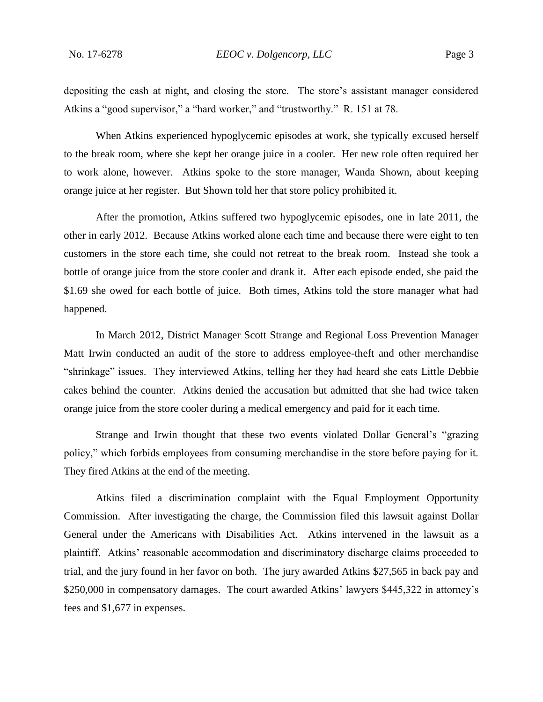depositing the cash at night, and closing the store. The store's assistant manager considered Atkins a "good supervisor," a "hard worker," and "trustworthy." R. 151 at 78.

When Atkins experienced hypoglycemic episodes at work, she typically excused herself to the break room, where she kept her orange juice in a cooler. Her new role often required her to work alone, however. Atkins spoke to the store manager, Wanda Shown, about keeping orange juice at her register. But Shown told her that store policy prohibited it.

After the promotion, Atkins suffered two hypoglycemic episodes, one in late 2011, the other in early 2012. Because Atkins worked alone each time and because there were eight to ten customers in the store each time, she could not retreat to the break room. Instead she took a bottle of orange juice from the store cooler and drank it. After each episode ended, she paid the \$1.69 she owed for each bottle of juice. Both times, Atkins told the store manager what had happened.

In March 2012, District Manager Scott Strange and Regional Loss Prevention Manager Matt Irwin conducted an audit of the store to address employee-theft and other merchandise "shrinkage" issues. They interviewed Atkins, telling her they had heard she eats Little Debbie cakes behind the counter. Atkins denied the accusation but admitted that she had twice taken orange juice from the store cooler during a medical emergency and paid for it each time.

Strange and Irwin thought that these two events violated Dollar General's "grazing policy," which forbids employees from consuming merchandise in the store before paying for it. They fired Atkins at the end of the meeting.

Atkins filed a discrimination complaint with the Equal Employment Opportunity Commission. After investigating the charge, the Commission filed this lawsuit against Dollar General under the Americans with Disabilities Act. Atkins intervened in the lawsuit as a plaintiff. Atkins' reasonable accommodation and discriminatory discharge claims proceeded to trial, and the jury found in her favor on both. The jury awarded Atkins \$27,565 in back pay and \$250,000 in compensatory damages. The court awarded Atkins' lawyers \$445,322 in attorney's fees and \$1,677 in expenses.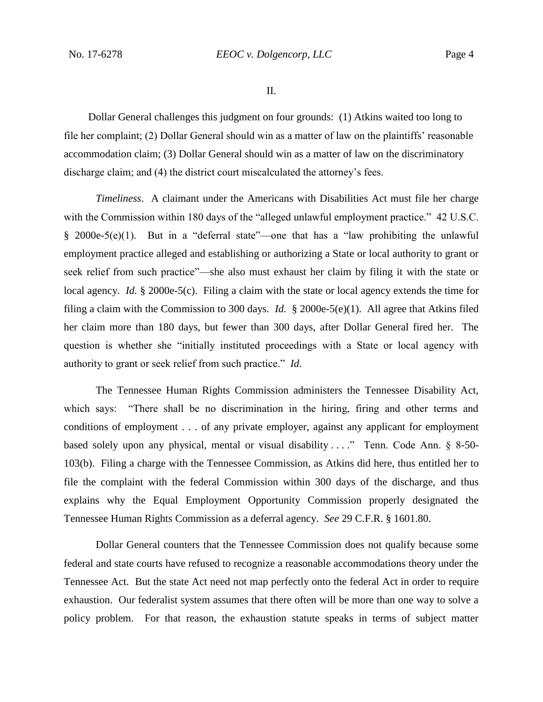II.

Dollar General challenges this judgment on four grounds: (1) Atkins waited too long to file her complaint; (2) Dollar General should win as a matter of law on the plaintiffs' reasonable accommodation claim; (3) Dollar General should win as a matter of law on the discriminatory discharge claim; and (4) the district court miscalculated the attorney's fees.

*Timeliness*. A claimant under the Americans with Disabilities Act must file her charge with the Commission within 180 days of the "alleged unlawful employment practice." 42 U.S.C.  $§$  2000e-5(e)(1). But in a "deferral state"—one that has a "law prohibiting the unlawful employment practice alleged and establishing or authorizing a State or local authority to grant or seek relief from such practice"—she also must exhaust her claim by filing it with the state or local agency. *Id.* § 2000e-5(c). Filing a claim with the state or local agency extends the time for filing a claim with the Commission to 300 days. *Id.* § 2000e-5(e)(1). All agree that Atkins filed her claim more than 180 days, but fewer than 300 days, after Dollar General fired her. The question is whether she "initially instituted proceedings with a State or local agency with authority to grant or seek relief from such practice." *Id*.

The Tennessee Human Rights Commission administers the Tennessee Disability Act, which says: "There shall be no discrimination in the hiring, firing and other terms and conditions of employment . . . of any private employer, against any applicant for employment based solely upon any physical, mental or visual disability . . . ." Tenn. Code Ann. § 8-50- 103(b). Filing a charge with the Tennessee Commission, as Atkins did here, thus entitled her to file the complaint with the federal Commission within 300 days of the discharge, and thus explains why the Equal Employment Opportunity Commission properly designated the Tennessee Human Rights Commission as a deferral agency. *See* 29 C.F.R. § 1601.80.

Dollar General counters that the Tennessee Commission does not qualify because some federal and state courts have refused to recognize a reasonable accommodations theory under the Tennessee Act. But the state Act need not map perfectly onto the federal Act in order to require exhaustion. Our federalist system assumes that there often will be more than one way to solve a policy problem. For that reason, the exhaustion statute speaks in terms of subject matter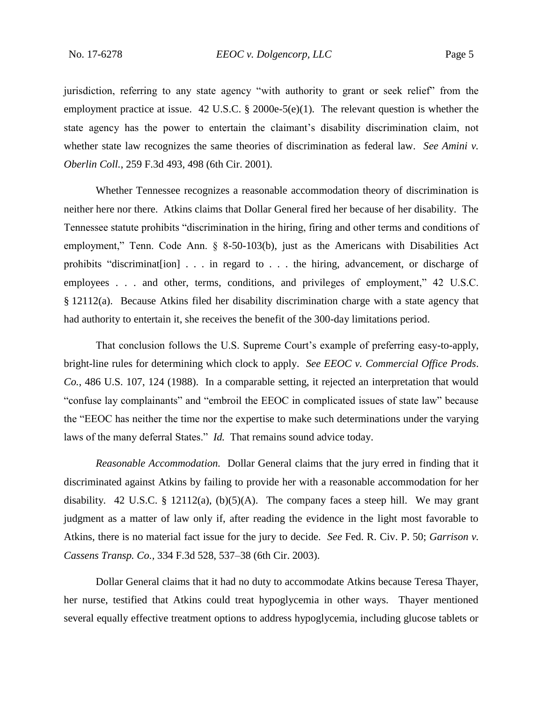jurisdiction, referring to any state agency "with authority to grant or seek relief" from the employment practice at issue. 42 U.S.C. § 2000e-5(e)(1). The relevant question is whether the state agency has the power to entertain the claimant's disability discrimination claim, not whether state law recognizes the same theories of discrimination as federal law. *See Amini v. Oberlin Coll.*, 259 F.3d 493, 498 (6th Cir. 2001).

Whether Tennessee recognizes a reasonable accommodation theory of discrimination is neither here nor there. Atkins claims that Dollar General fired her because of her disability. The Tennessee statute prohibits "discrimination in the hiring, firing and other terms and conditions of employment," Tenn. Code Ann. § 8-50-103(b), just as the Americans with Disabilities Act prohibits "discriminat[ion] . . . in regard to . . . the hiring, advancement, or discharge of employees . . . and other, terms, conditions, and privileges of employment," 42 U.S.C. § 12112(a). Because Atkins filed her disability discrimination charge with a state agency that had authority to entertain it, she receives the benefit of the 300-day limitations period.

That conclusion follows the U.S. Supreme Court's example of preferring easy-to-apply, bright-line rules for determining which clock to apply. *See EEOC v. Commercial Office Prods*. *Co.*, 486 U.S. 107, 124 (1988). In a comparable setting, it rejected an interpretation that would "confuse lay complainants" and "embroil the EEOC in complicated issues of state law" because the "EEOC has neither the time nor the expertise to make such determinations under the varying laws of the many deferral States." *Id.* That remains sound advice today.

*Reasonable Accommodation.* Dollar General claims that the jury erred in finding that it discriminated against Atkins by failing to provide her with a reasonable accommodation for her disability. 42 U.S.C. § 12112(a),  $(b)(5)(A)$ . The company faces a steep hill. We may grant judgment as a matter of law only if, after reading the evidence in the light most favorable to Atkins, there is no material fact issue for the jury to decide. *See* Fed. R. Civ. P. 50; *Garrison v. Cassens Transp. Co.,* 334 F.3d 528, 537–38 (6th Cir. 2003).

Dollar General claims that it had no duty to accommodate Atkins because Teresa Thayer, her nurse, testified that Atkins could treat hypoglycemia in other ways. Thayer mentioned several equally effective treatment options to address hypoglycemia, including glucose tablets or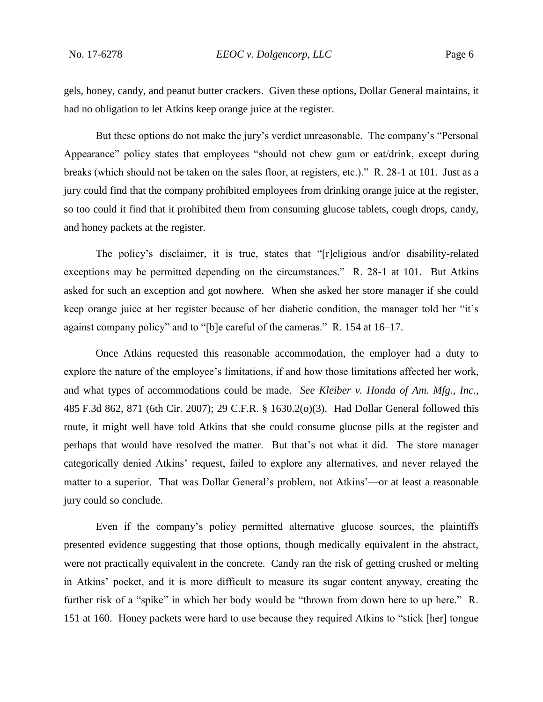gels, honey, candy, and peanut butter crackers. Given these options, Dollar General maintains, it had no obligation to let Atkins keep orange juice at the register.

But these options do not make the jury's verdict unreasonable. The company's "Personal Appearance" policy states that employees "should not chew gum or eat/drink, except during breaks (which should not be taken on the sales floor, at registers, etc.)." R. 28-1 at 101. Just as a jury could find that the company prohibited employees from drinking orange juice at the register, so too could it find that it prohibited them from consuming glucose tablets, cough drops, candy, and honey packets at the register.

The policy's disclaimer, it is true, states that "[r]eligious and/or disability-related exceptions may be permitted depending on the circumstances." R. 28-1 at 101. But Atkins asked for such an exception and got nowhere. When she asked her store manager if she could keep orange juice at her register because of her diabetic condition, the manager told her "it's against company policy" and to "[b]e careful of the cameras." R. 154 at 16–17.

Once Atkins requested this reasonable accommodation, the employer had a duty to explore the nature of the employee's limitations, if and how those limitations affected her work, and what types of accommodations could be made. *See Kleiber v. Honda of Am. Mfg., Inc.*, 485 F.3d 862, 871 (6th Cir. 2007); 29 C.F.R. § 1630.2(o)(3).Had Dollar General followed this route, it might well have told Atkins that she could consume glucose pills at the register and perhaps that would have resolved the matter. But that's not what it did. The store manager categorically denied Atkins' request, failed to explore any alternatives, and never relayed the matter to a superior. That was Dollar General's problem, not Atkins'—or at least a reasonable jury could so conclude.

Even if the company's policy permitted alternative glucose sources, the plaintiffs presented evidence suggesting that those options, though medically equivalent in the abstract, were not practically equivalent in the concrete. Candy ran the risk of getting crushed or melting in Atkins' pocket, and it is more difficult to measure its sugar content anyway, creating the further risk of a "spike" in which her body would be "thrown from down here to up here." R. 151 at 160. Honey packets were hard to use because they required Atkins to "stick [her] tongue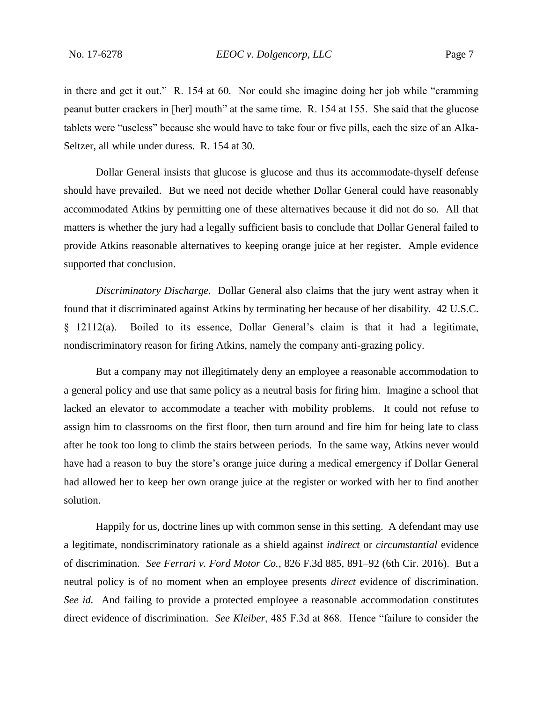in there and get it out." R. 154 at 60. Nor could she imagine doing her job while "cramming peanut butter crackers in [her] mouth" at the same time. R. 154 at 155. She said that the glucose tablets were "useless" because she would have to take four or five pills, each the size of an Alka-Seltzer, all while under duress. R. 154 at 30.

Dollar General insists that glucose is glucose and thus its accommodate-thyself defense should have prevailed. But we need not decide whether Dollar General could have reasonably accommodated Atkins by permitting one of these alternatives because it did not do so. All that matters is whether the jury had a legally sufficient basis to conclude that Dollar General failed to provide Atkins reasonable alternatives to keeping orange juice at her register. Ample evidence supported that conclusion.

*Discriminatory Discharge.* Dollar General also claims that the jury went astray when it found that it discriminated against Atkins by terminating her because of her disability. 42 U.S.C. § 12112(a). Boiled to its essence, Dollar General's claim is that it had a legitimate, nondiscriminatory reason for firing Atkins, namely the company anti-grazing policy.

But a company may not illegitimately deny an employee a reasonable accommodation to a general policy and use that same policy as a neutral basis for firing him. Imagine a school that lacked an elevator to accommodate a teacher with mobility problems. It could not refuse to assign him to classrooms on the first floor, then turn around and fire him for being late to class after he took too long to climb the stairs between periods. In the same way, Atkins never would have had a reason to buy the store's orange juice during a medical emergency if Dollar General had allowed her to keep her own orange juice at the register or worked with her to find another solution.

Happily for us, doctrine lines up with common sense in this setting. A defendant may use a legitimate, nondiscriminatory rationale as a shield against *indirect* or *circumstantial* evidence of discrimination. *See Ferrari v. Ford Motor Co.*, 826 F.3d 885, 891–92 (6th Cir. 2016). But a neutral policy is of no moment when an employee presents *direct* evidence of discrimination. *See id.* And failing to provide a protected employee a reasonable accommodation constitutes direct evidence of discrimination. *See Kleiber*, 485 F.3d at 868. Hence "failure to consider the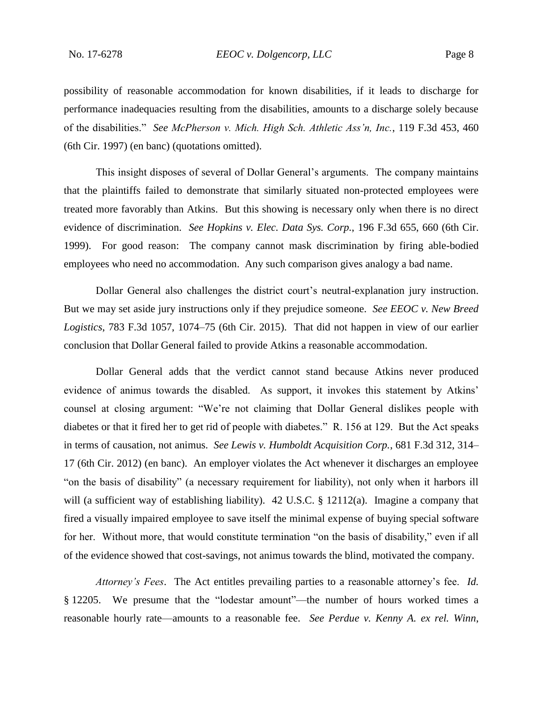possibility of reasonable accommodation for known disabilities, if it leads to discharge for performance inadequacies resulting from the disabilities, amounts to a discharge solely because of the disabilities." *See McPherson v. Mich. High Sch. Athletic Ass'n, Inc.*, 119 F.3d 453, 460 (6th Cir. 1997) (en banc) (quotations omitted).

This insight disposes of several of Dollar General's arguments. The company maintains that the plaintiffs failed to demonstrate that similarly situated non-protected employees were treated more favorably than Atkins. But this showing is necessary only when there is no direct evidence of discrimination. *See Hopkins v. Elec. Data Sys. Corp.*, 196 F.3d 655, 660 (6th Cir. 1999). For good reason: The company cannot mask discrimination by firing able-bodied employees who need no accommodation. Any such comparison gives analogy a bad name.

Dollar General also challenges the district court's neutral-explanation jury instruction. But we may set aside jury instructions only if they prejudice someone. *See EEOC v. New Breed Logistics*, 783 F.3d 1057, 1074–75 (6th Cir. 2015). That did not happen in view of our earlier conclusion that Dollar General failed to provide Atkins a reasonable accommodation.

Dollar General adds that the verdict cannot stand because Atkins never produced evidence of animus towards the disabled. As support, it invokes this statement by Atkins' counsel at closing argument: "We're not claiming that Dollar General dislikes people with diabetes or that it fired her to get rid of people with diabetes." R. 156 at 129. But the Act speaks in terms of causation, not animus. *See Lewis v. Humboldt Acquisition Corp.*, 681 F.3d 312, 314– 17 (6th Cir. 2012) (en banc). An employer violates the Act whenever it discharges an employee "on the basis of disability" (a necessary requirement for liability), not only when it harbors ill will (a sufficient way of establishing liability). 42 U.S.C. § 12112(a). Imagine a company that fired a visually impaired employee to save itself the minimal expense of buying special software for her. Without more, that would constitute termination "on the basis of disability," even if all of the evidence showed that cost-savings, not animus towards the blind, motivated the company.

*Attorney's Fees*. The Act entitles prevailing parties to a reasonable attorney's fee. *Id.* § 12205. We presume that the "lodestar amount"—the number of hours worked times a reasonable hourly rate—amounts to a reasonable fee. *See Perdue v. Kenny A. ex rel. Winn*,